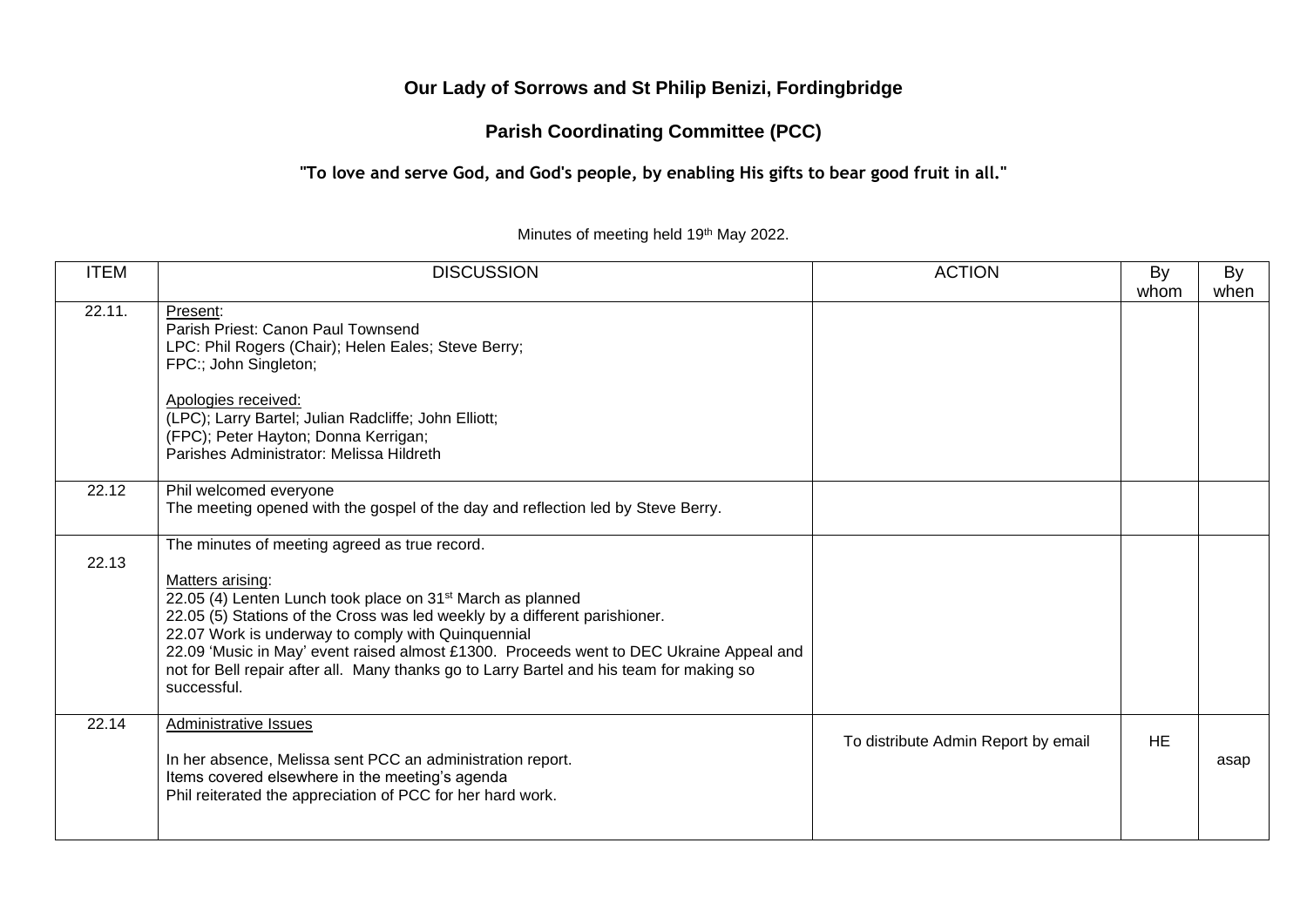# **Our Lady of Sorrows and St Philip Benizi, Fordingbridge**

# **Parish Coordinating Committee (PCC)**

## **"To love and serve God, and God's people, by enabling His gifts to bear good fruit in all."**

#### Minutes of meeting held 19th May 2022.

| <b>ITEM</b> | <b>DISCUSSION</b>                                                                                                                                                                                                                                                                                                                                                                                                                                                                     | <b>ACTION</b>                       | By<br>whom | By<br>when |
|-------------|---------------------------------------------------------------------------------------------------------------------------------------------------------------------------------------------------------------------------------------------------------------------------------------------------------------------------------------------------------------------------------------------------------------------------------------------------------------------------------------|-------------------------------------|------------|------------|
| 22.11.      | Present:<br>Parish Priest: Canon Paul Townsend<br>LPC: Phil Rogers (Chair); Helen Eales; Steve Berry;<br>FPC:; John Singleton;<br>Apologies received:<br>(LPC); Larry Bartel; Julian Radcliffe; John Elliott;<br>(FPC); Peter Hayton; Donna Kerrigan;<br>Parishes Administrator: Melissa Hildreth                                                                                                                                                                                     |                                     |            |            |
| 22.12       | Phil welcomed everyone<br>The meeting opened with the gospel of the day and reflection led by Steve Berry.                                                                                                                                                                                                                                                                                                                                                                            |                                     |            |            |
| 22.13       | The minutes of meeting agreed as true record.<br>Matters arising:<br>22.05 (4) Lenten Lunch took place on 31 <sup>st</sup> March as planned<br>22.05 (5) Stations of the Cross was led weekly by a different parishioner.<br>22.07 Work is underway to comply with Quinquennial<br>22.09 'Music in May' event raised almost £1300. Proceeds went to DEC Ukraine Appeal and<br>not for Bell repair after all. Many thanks go to Larry Bartel and his team for making so<br>successful. |                                     |            |            |
| 22.14       | Administrative Issues<br>In her absence, Melissa sent PCC an administration report.<br>Items covered elsewhere in the meeting's agenda<br>Phil reiterated the appreciation of PCC for her hard work.                                                                                                                                                                                                                                                                                  | To distribute Admin Report by email | <b>HE</b>  | asap       |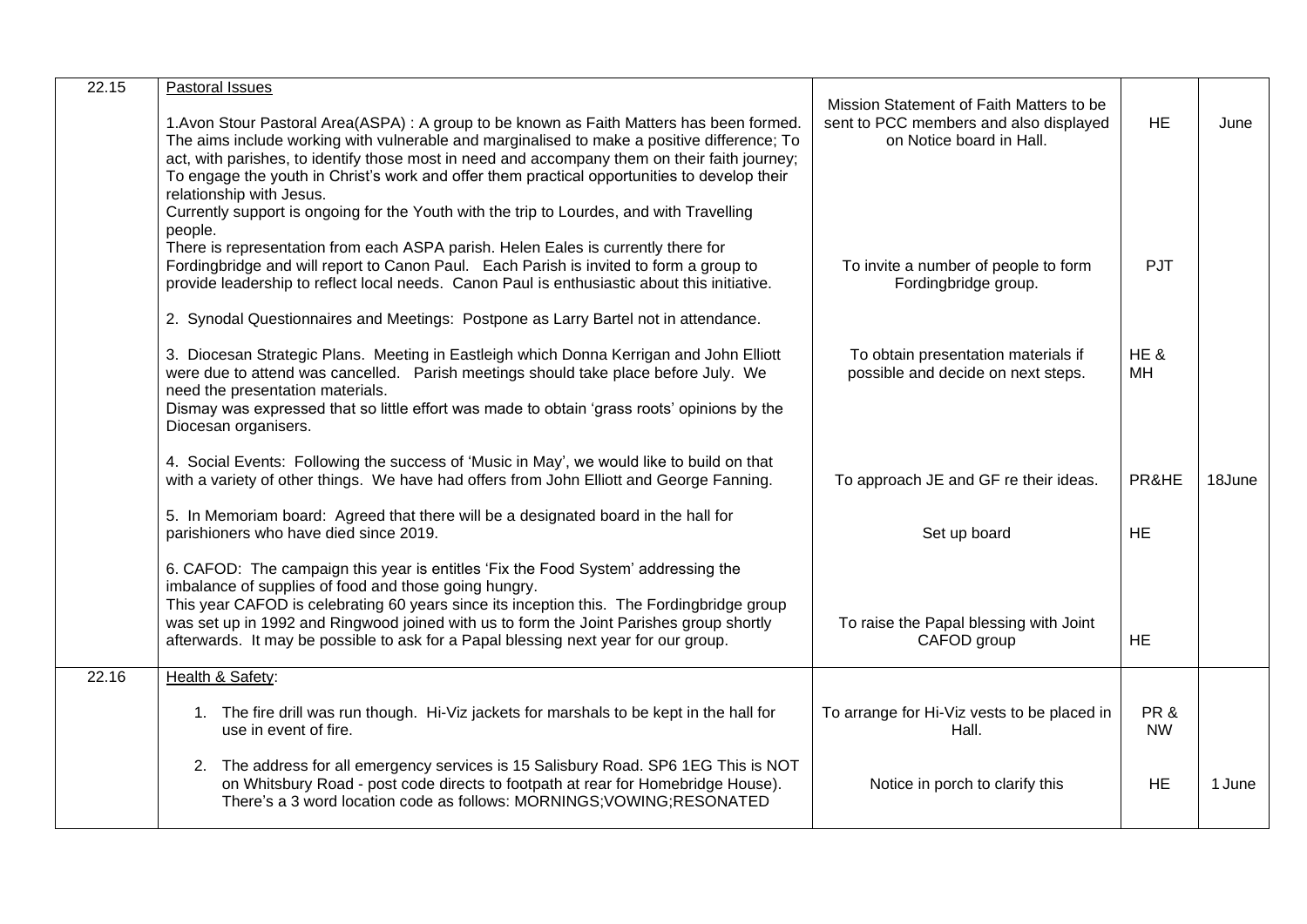| 22.15 | Pastoral Issues<br>1. Avon Stour Pastoral Area (ASPA) : A group to be known as Faith Matters has been formed.<br>The aims include working with vulnerable and marginalised to make a positive difference; To<br>act, with parishes, to identify those most in need and accompany them on their faith journey;<br>To engage the youth in Christ's work and offer them practical opportunities to develop their<br>relationship with Jesus.<br>Currently support is ongoing for the Youth with the trip to Lourdes, and with Travelling | Mission Statement of Faith Matters to be<br>sent to PCC members and also displayed<br>on Notice board in Hall. | <b>HE</b>        | June   |
|-------|---------------------------------------------------------------------------------------------------------------------------------------------------------------------------------------------------------------------------------------------------------------------------------------------------------------------------------------------------------------------------------------------------------------------------------------------------------------------------------------------------------------------------------------|----------------------------------------------------------------------------------------------------------------|------------------|--------|
|       | people.<br>There is representation from each ASPA parish. Helen Eales is currently there for<br>Fordingbridge and will report to Canon Paul. Each Parish is invited to form a group to<br>provide leadership to reflect local needs. Canon Paul is enthusiastic about this initiative.                                                                                                                                                                                                                                                | To invite a number of people to form<br>Fordingbridge group.                                                   | <b>PJT</b>       |        |
|       | 2. Synodal Questionnaires and Meetings: Postpone as Larry Bartel not in attendance.<br>3. Diocesan Strategic Plans. Meeting in Eastleigh which Donna Kerrigan and John Elliott<br>were due to attend was cancelled.  Parish meetings should take place before July.  We<br>need the presentation materials.<br>Dismay was expressed that so little effort was made to obtain 'grass roots' opinions by the<br>Diocesan organisers.                                                                                                    | To obtain presentation materials if<br>possible and decide on next steps.                                      | HE&<br>MH        |        |
|       | 4. Social Events: Following the success of 'Music in May', we would like to build on that<br>with a variety of other things. We have had offers from John Elliott and George Fanning.                                                                                                                                                                                                                                                                                                                                                 | To approach JE and GF re their ideas.                                                                          | PR&HE            | 18June |
|       | 5. In Memoriam board: Agreed that there will be a designated board in the hall for<br>parishioners who have died since 2019.                                                                                                                                                                                                                                                                                                                                                                                                          | Set up board                                                                                                   | <b>HE</b>        |        |
|       | 6. CAFOD: The campaign this year is entitles 'Fix the Food System' addressing the<br>imbalance of supplies of food and those going hungry.<br>This year CAFOD is celebrating 60 years since its inception this. The Fordingbridge group<br>was set up in 1992 and Ringwood joined with us to form the Joint Parishes group shortly<br>afterwards. It may be possible to ask for a Papal blessing next year for our group.                                                                                                             | To raise the Papal blessing with Joint<br>CAFOD group                                                          | <b>HE</b>        |        |
| 22.16 | Health & Safety:                                                                                                                                                                                                                                                                                                                                                                                                                                                                                                                      |                                                                                                                |                  |        |
|       | 1. The fire drill was run though. Hi-Viz jackets for marshals to be kept in the hall for<br>use in event of fire.                                                                                                                                                                                                                                                                                                                                                                                                                     | To arrange for Hi-Viz vests to be placed in<br>Hall.                                                           | PR&<br><b>NW</b> |        |
|       | 2. The address for all emergency services is 15 Salisbury Road. SP6 1EG This is NOT<br>on Whitsbury Road - post code directs to footpath at rear for Homebridge House).<br>There's a 3 word location code as follows: MORNINGS; VOWING; RESONATED                                                                                                                                                                                                                                                                                     | Notice in porch to clarify this                                                                                | <b>HE</b>        | 1 June |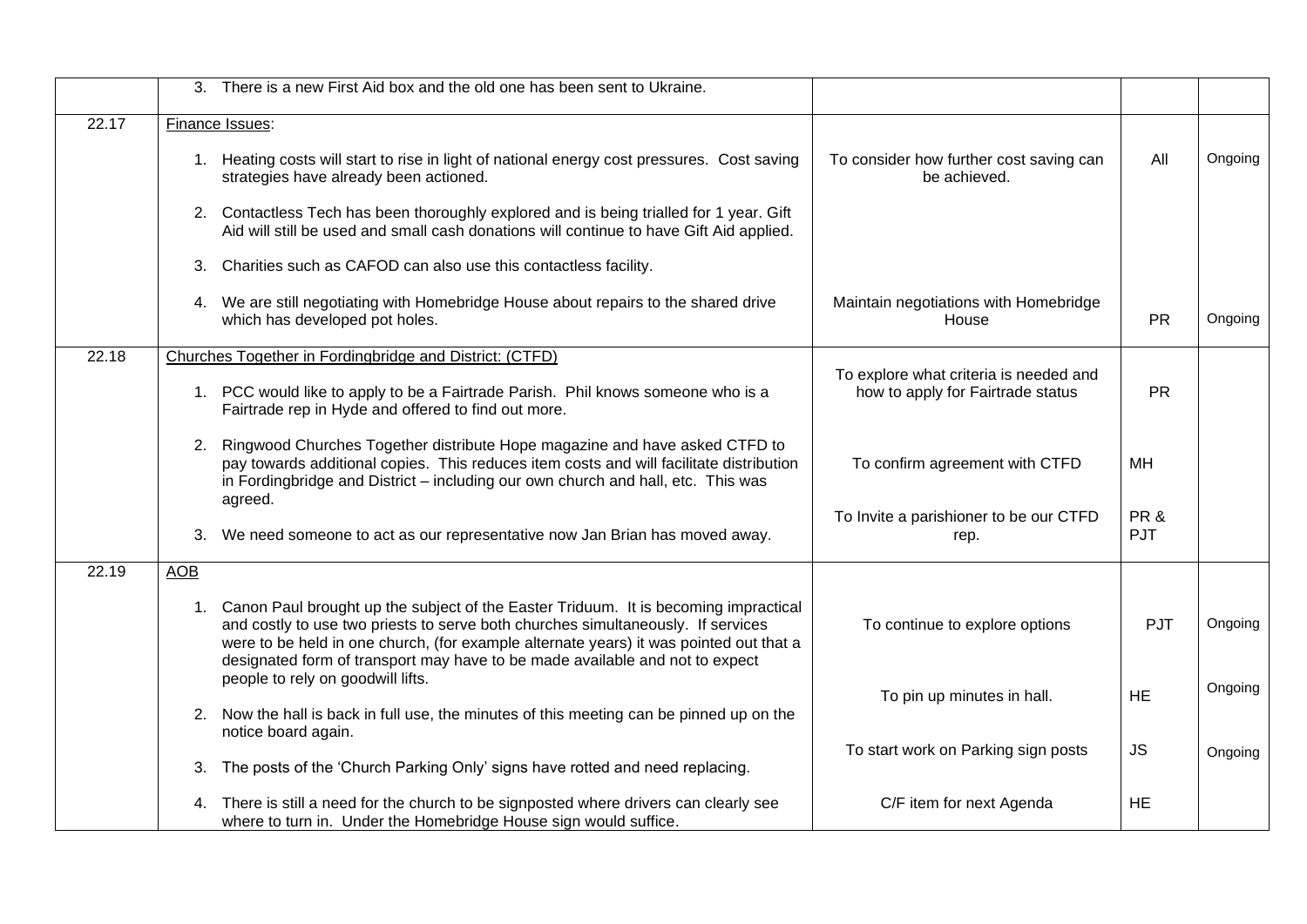|       | 3. There is a new First Aid box and the old one has been sent to Ukraine.                                                                                                                                                                                                                                                                               |                                                                             |            |         |
|-------|---------------------------------------------------------------------------------------------------------------------------------------------------------------------------------------------------------------------------------------------------------------------------------------------------------------------------------------------------------|-----------------------------------------------------------------------------|------------|---------|
| 22.17 | Finance Issues:                                                                                                                                                                                                                                                                                                                                         |                                                                             |            |         |
|       | 1. Heating costs will start to rise in light of national energy cost pressures. Cost saving<br>strategies have already been actioned.                                                                                                                                                                                                                   | To consider how further cost saving can<br>be achieved.                     | All        | Ongoing |
|       | 2. Contactless Tech has been thoroughly explored and is being trialled for 1 year. Gift<br>Aid will still be used and small cash donations will continue to have Gift Aid applied.                                                                                                                                                                      |                                                                             |            |         |
|       | 3. Charities such as CAFOD can also use this contactless facility.                                                                                                                                                                                                                                                                                      |                                                                             |            |         |
|       | 4. We are still negotiating with Homebridge House about repairs to the shared drive<br>which has developed pot holes.                                                                                                                                                                                                                                   | Maintain negotiations with Homebridge<br>House                              | <b>PR</b>  | Ongoing |
| 22.18 | Churches Together in Fordingbridge and District: (CTFD)                                                                                                                                                                                                                                                                                                 |                                                                             |            |         |
|       | 1. PCC would like to apply to be a Fairtrade Parish. Phil knows someone who is a<br>Fairtrade rep in Hyde and offered to find out more.                                                                                                                                                                                                                 | To explore what criteria is needed and<br>how to apply for Fairtrade status | <b>PR</b>  |         |
|       | 2. Ringwood Churches Together distribute Hope magazine and have asked CTFD to<br>pay towards additional copies. This reduces item costs and will facilitate distribution<br>in Fordingbridge and District - including our own church and hall, etc. This was<br>agreed.                                                                                 | To confirm agreement with CTFD                                              | MH         |         |
|       | We need someone to act as our representative now Jan Brian has moved away.<br>3.                                                                                                                                                                                                                                                                        | To Invite a parishioner to be our CTFD<br>rep.                              | PR&<br>PJT |         |
| 22.19 | <b>AOB</b>                                                                                                                                                                                                                                                                                                                                              |                                                                             |            |         |
|       | Canon Paul brought up the subject of the Easter Triduum. It is becoming impractical<br>1.<br>and costly to use two priests to serve both churches simultaneously. If services<br>were to be held in one church, (for example alternate years) it was pointed out that a<br>designated form of transport may have to be made available and not to expect | To continue to explore options                                              | PJT        | Ongoing |
|       | people to rely on goodwill lifts.                                                                                                                                                                                                                                                                                                                       | To pin up minutes in hall.                                                  | <b>HE</b>  | Ongoing |
|       | 2. Now the hall is back in full use, the minutes of this meeting can be pinned up on the                                                                                                                                                                                                                                                                |                                                                             |            |         |
|       | notice board again.                                                                                                                                                                                                                                                                                                                                     | To start work on Parking sign posts                                         | <b>JS</b>  | Ongoing |
|       | 3. The posts of the 'Church Parking Only' signs have rotted and need replacing.                                                                                                                                                                                                                                                                         |                                                                             |            |         |
|       | 4. There is still a need for the church to be signposted where drivers can clearly see<br>where to turn in. Under the Homebridge House sign would suffice.                                                                                                                                                                                              | C/F item for next Agenda                                                    | <b>HE</b>  |         |